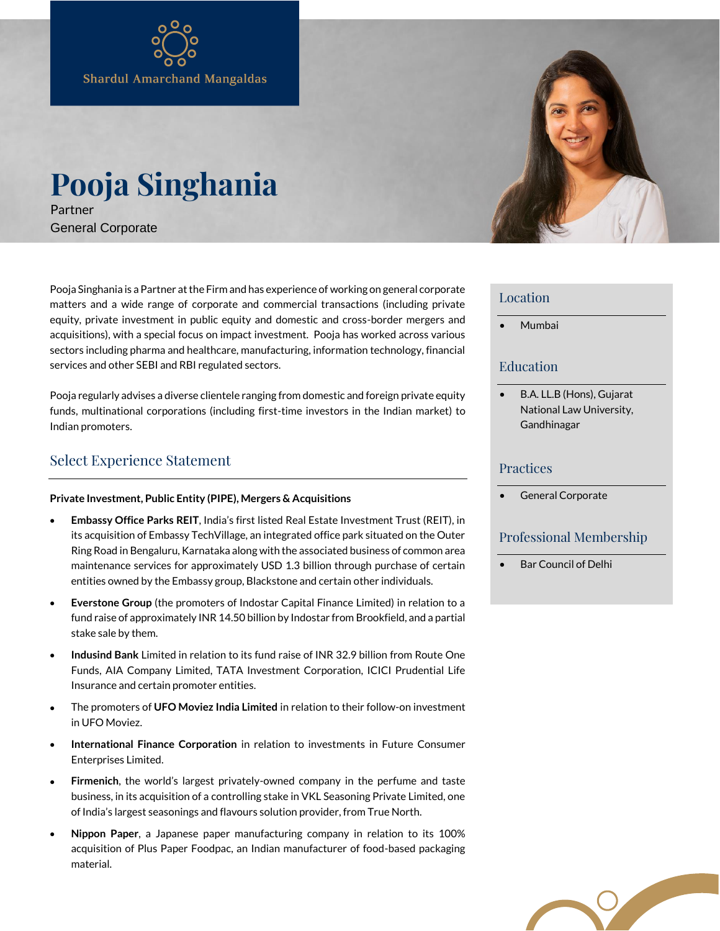# **Pooja Singhania** Partner

General Corporate

Pooja Singhania is a Partner at the Firm and has experience of working on general corporate matters and a wide range of corporate and commercial transactions (including private equity, private investment in public equity and domestic and cross-border mergers and acquisitions), with a special focus on impact investment. Pooja has worked across various sectors including pharma and healthcare, manufacturing, information technology, financial services and other SEBI and RBI regulated sectors.

Pooja regularly advises a diverse clientele ranging from domestic and foreign private equity funds, multinational corporations (including first-time investors in the Indian market) to Indian promoters.

## Select Experience Statement

#### **Private Investment, Public Entity (PIPE), Mergers & Acquisitions**

- **Embassy Office Parks REIT**, India's first listed Real Estate Investment Trust (REIT), in its acquisition of Embassy TechVillage, an integrated office park situated on the Outer Ring Road in Bengaluru, Karnataka along with the associated business of common area maintenance services for approximately USD 1.3 billion through purchase of certain entities owned by the Embassy group, Blackstone and certain other individuals.
- **Everstone Group** (the promoters of Indostar Capital Finance Limited) in relation to a fund raise of approximately INR 14.50 billion by Indostar from Brookfield, and a partial stake sale by them.
- **Indusind Bank** Limited in relation to its fund raise of INR 32.9 billion from Route One Funds, AIA Company Limited, TATA Investment Corporation, ICICI Prudential Life Insurance and certain promoter entities.
- The promoters of **UFO Moviez India Limited** in relation to their follow-on investment in UFO Moviez.
- **International Finance Corporation** in relation to investments in Future Consumer Enterprises Limited.
- **Firmenich**, the world's largest privately-owned company in the perfume and taste business, in its acquisition of a controlling stake in VKL Seasoning Private Limited, one of India's largest seasonings and flavours solution provider, from True North.
- **Nippon Paper**, a Japanese paper manufacturing company in relation to its 100% acquisition of Plus Paper Foodpac, an Indian manufacturer of food-based packaging material.



#### Location

• Mumbai

### Education

• B.A. LL.B (Hons), Gujarat National Law University, Gandhinagar

#### **Practices**

General Corporate

#### Professional Membership

• Bar Council of Delhi